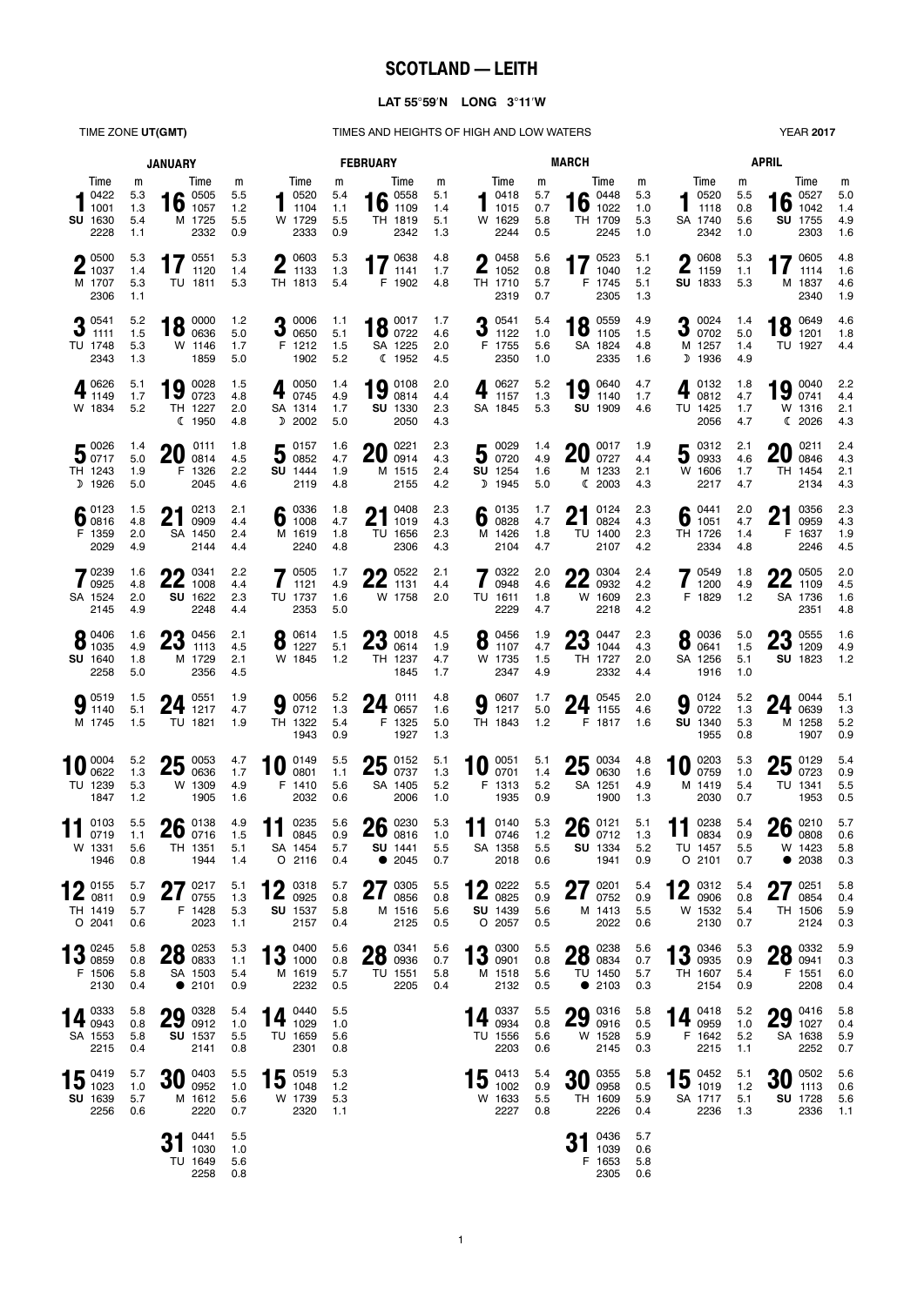# **SCOTLAND — LEITH**

## **LAT 55**°**59**′**N LONG 3**°**11**′**W**

TIME ZONE UT(GMT) TIMES AND HEIGHTS OF HIGH AND LOW WATERS YEAR 2017

| <b>JANUARY</b>                                               |                               |                                                             |                               |                                                             | <b>FEBRUARY</b>               |                                                              | <b>MARCH</b>                  | <b>APRIL</b>                                              |                               |                                                |                               |                                                     |                               |                                                 |                               |
|--------------------------------------------------------------|-------------------------------|-------------------------------------------------------------|-------------------------------|-------------------------------------------------------------|-------------------------------|--------------------------------------------------------------|-------------------------------|-----------------------------------------------------------|-------------------------------|------------------------------------------------|-------------------------------|-----------------------------------------------------|-------------------------------|-------------------------------------------------|-------------------------------|
| Time<br>0422<br>1001<br>SU 1630<br>2228                      | m<br>5.3<br>1.3<br>5.4<br>1.1 | Time<br>$\bullet$ 0505<br>IV<br>1057<br>M 1725<br>2332      | m<br>5.5<br>1.2<br>5.5<br>0.9 | Time<br>0520<br>1104<br>W 1729<br>2333                      | m<br>5.4<br>1.1<br>5.5<br>0.9 | Time<br>16 $^{0558}_{1109}$<br>TH 1819<br>2342               | m<br>5.1<br>1.4<br>5.1<br>1.3 | Time<br>0418<br>1015<br>W 1629<br>2244                    | m<br>5.7<br>0.7<br>5.8<br>0.5 | Time<br>0448<br>16<br>1022<br>TH 1709<br>2245  | m<br>5.3<br>1.0<br>5.3<br>1.0 | Time<br>0520<br>1118<br>SA 1740<br>2342             | m<br>5.5<br>0.8<br>5.6<br>1.0 | Time<br>0527<br>16<br>1042<br>SU 1755<br>2303   | m<br>5.0<br>1.4<br>4.9<br>1.6 |
| $\bigcap$ 0500<br>$\blacktriangle$ 1037<br>M 1707<br>2306    | 5.3<br>1.4<br>5.3<br>1.1      | 17 $^{0551}_{1120}$<br>1120<br>TU 1811                      | 5.3<br>1.4<br>5.3             | 0603<br>1133<br>TH 1813                                     | 5.3<br>1.3<br>5.4             | 17 $^{0638}_{1141}$<br>1141<br>F 1902                        | 4.8<br>1.7<br>4.8             | Λ<br>0458<br>Ł<br>1052<br>TH 1710<br>2319                 | 5.6<br>0.8<br>5.7<br>0.7      | 0523<br>17<br>1040<br>F 1745<br>2305           | 5.1<br>1.2<br>5.1<br>1.3      | 0608<br>Λ<br>Ł<br>1159<br><b>SU</b> 1833            | 5.3<br>1.1<br>5.3             | 0605<br>17<br>1114<br>M 1837<br>2340            | 4.8<br>1.6<br>4.6<br>1.9      |
| $3^{0541}_{1111}$<br>TU 1748<br>2343                         | 5.2<br>1.5<br>5.3<br>1.3      | 0000<br>18<br>0636<br>W 1146<br>1859                        | $1.2$<br>5.0<br>1.7<br>5.0    | 0006<br>J<br>0650<br>F 1212<br>1902                         | 1.1<br>5.1<br>1.5<br>5.2      | 18 $^{0017}_{0722}$<br>SA 1225<br>C 1952                     | 1.7<br>4.6<br>2.0<br>4.5      | 0541<br>1122<br>F 1755<br>2350                            | 5.4<br>1.0<br>5.6<br>1.0      | 0559<br>18<br>1105<br>SA 1824<br>2335          | 4.9<br>1.5<br>4.8<br>1.6      | 0024<br>3<br>0702<br>M 1257<br>D 1936               | 1.4<br>5.0<br>1.4<br>4.9      | 0649<br>$18^{0649}_{1201}$<br>TU 1927           | 4.6<br>1.8<br>4.4             |
| $\blacksquare$ 0626<br>$4_{1149}$<br>W 1834                  | 5.1<br>1.7<br>5.2             | 0028<br>19<br>0723<br>TH 1227<br><b>€ 1950</b>              | 1.5<br>4.8<br>2.0<br>4.8      | 0050<br>4<br>0745<br>SA 1314<br>D 2002                      | 1.4<br>4.9<br>1.7<br>5.0      | 0108<br>19<br>0814<br>SU 1330<br>2050                        | 2.0<br>4.4<br>2.3<br>4.3      | 0627<br>1157<br>SA 1845                                   | 5.2<br>1.3<br>5.3             | 0640<br>19<br>1140<br>SU 1909                  | 4.7<br>1.7<br>4.6             | 0132<br>4<br>0812<br>TU 1425<br>2056                | 1.8<br>4.7<br>1.7<br>4.7      | 0040<br>19<br>0741<br>W 1316<br>(2026)          | 2.2<br>4.4<br>2.1<br>4.3      |
| $5\degree^{0026}$<br>TH 1243<br>D 1926                       | 1.4<br>5.0<br>1.9<br>5.0      | 0111<br>20<br>0814<br>F 1326<br>2045                        | 1.8<br>4.5<br>2.2<br>4.6      | $50157$ 0852<br><b>SU</b> 1444<br>2119                      | 1.6<br>4.7<br>1.9<br>4.8      | 0221<br>20<br>0914<br>M 1515<br>2155                         | 2.3<br>4.3<br>2.4<br>4.2      | $5\degree$ 0029<br><b>SU</b> 1254<br>D 1945               | 1.4<br>4.9<br>1.6<br>5.0      | 0017<br>20<br>0727<br>M 1233<br>(2003)         | 1.9<br>4.4<br>2.1<br>4.3      | 0312<br>5<br>0933<br>W 1606<br>2217                 | 2.1<br>4.6<br>1.7<br>4.7      | 0211<br>ZU<br>0846<br>TH 1454<br>2134           | 2.4<br>4.3<br>2.1<br>4.3      |
| $\bullet$ 0123<br><b>D</b> 0816<br>F 1359<br>2029            | 1.5<br>4.8<br>2.0<br>4.9      | 0213<br>ŋ1<br>Z I<br>0909<br>SA 1450<br>2144                | 2.1<br>4.4<br>2.4<br>4.4      | 6 $^{0336}_{1008}$<br>M 1619<br>2240                        | 1.8<br>4.7<br>1.8<br>4.8      | 0408<br><b>01</b><br>$\mathbf{Z}$<br>1019<br>TU 1656<br>2306 | 2.3<br>4.3<br>2.3<br>4.3      | 0135<br>6<br>0828<br>M 1426<br>2104                       | 1.7<br>4.7<br>1.8<br>4.7      | 0124<br>n1<br>Z I<br>0824<br>TU 1400<br>2107   | 2.3<br>4.3<br>2.3<br>4.2      | 0441<br>6<br>1051<br>TH 1726<br>2334                | 2.0<br>4.7<br>1.4<br>4.8      | 0356<br>Z I<br>0959<br>F 1637<br>2246           | 2.3<br>4.3<br>1.9<br>4.5      |
| 70239<br>$\frac{1}{2}$ 0925<br>SA 1524<br>2145               | 1.6<br>4.8<br>2.0<br>4.9      | 0341<br>22<br>1008<br>SU 1622<br>2248                       | 2.2<br>4.4<br>2.3<br>4.4      | 0505<br>1121<br>TU 1737<br>2353                             | 1.7<br>4.9<br>1.6<br>5.0      | 0522<br>$22^{0522}$<br>W 1758                                | 2.1<br>4.4<br>2.0             | 0322<br>0948<br>TU 1611<br>2229                           | 2.0<br>4.6<br>1.8<br>4.7      | 0304<br>ωn<br><b>ZZ</b> 0932<br>W 1609<br>2218 | 2.4<br>4.2<br>2.3<br>4.2      | 0549<br>1200<br>F 1829                              | 1.8<br>4.9<br>1.2             | ሳሳ 0505<br>ZZ<br>1109<br>SA 1736<br>2351        | 2.0<br>4.5<br>1.6<br>4.8      |
| 0406<br>$\bullet$ 1035<br>SU 1640<br>2258                    | 1.6<br>4.9<br>1.8<br>5.0      | 0456<br>ŋŋ<br>ZJ<br>1113<br>M 1729<br>2356                  | 2.1<br>4.5<br>2.1<br>4.5      | 0614<br>8<br>1227<br>W 1845                                 | 1.5<br>5.1<br>1.2             | 0018<br>מח<br>ZJ<br>0614<br>TH 1237<br>1845                  | 4.5<br>1.9<br>4.7<br>1.7      | 0456<br>Ō<br>1107<br>W 1735<br>2347                       | 1.9<br>4.7<br>1.5<br>4.9      | 0447<br>ŋŋ<br>ZJ<br>1044<br>TH 1727<br>2332    | 2.3<br>4.3<br>2.0<br>4.4      | 0036<br>O<br>0641<br>SA 1256<br>1916                | 5.0<br>1.5<br>5.1<br>1.0      | $\bullet$ 0555<br>$20_{1209}$<br><b>SU 1823</b> | 1.6<br>4.9<br>1.2             |
| $9^{0519}_{1140}$<br>M 1745                                  | 1.5<br>5.1<br>1.5             | 0551<br>24<br>1217<br>TU 1821                               | 1.9<br>4.7<br>1.9             | 0056<br>9<br>0712<br>TH 1322<br>1943                        | 5.2<br>1.3<br>5.4<br>0.9      | 0111<br>24<br>0657<br>F 1325<br>1927                         | 4.8<br>1.6<br>5.0<br>1.3      | 0607<br>9<br>1217<br>TH 1843                              | 1.7<br>5.0<br>1.2             | 0545<br>24<br>1155<br>F 1817                   | 2.0<br>4.6<br>1.6             | 0124<br>9<br>0722<br>SU 1340<br>1955                | 5.2<br>1.3<br>5.3<br>0.8      | $24 \t{ }^{0044}_{0639}$<br>M 1258<br>1907      | 5.1<br>1.3<br>5.2<br>0.9      |
| 0004<br>0622<br>TU 1239<br>1847                              | 5.2<br>1.3<br>5.3<br>1.2      | 25<br>0053<br>0636<br>W 1309<br>1905                        | 4.7<br>1.7<br>4.9<br>1.6      | 0149<br>10<br>0801<br>F 1410<br>2032                        | 5.5<br>1.1<br>5.6<br>0.6      | $25\frac{0152}{0737}$<br>0737<br>SA 1405<br>2006             | 5.1<br>1.3<br>5.2<br>1.0      | 0051<br>10<br>0701<br>F 1313<br>1935                      | 5.1<br>1.4<br>$5.2\,$<br>0.9  | 25<br>0034<br>0630<br>SA 1251<br>1900          | 4.8<br>1.6<br>4.9<br>1.3      | 0203<br>$\boldsymbol{0}$<br>0759<br>M 1419<br>2030  | 5.3<br>1.0<br>5.4<br>0.7      | $25\frac{0129}{0723}$<br>TU 1341<br>1953        | 5.4<br>0.9<br>5.5<br>0.5      |
| 0103<br>0719<br>W 1331<br>1946                               | 5.5<br>1.1<br>5.6<br>0.8      | 0138<br>26<br>0716<br>TH 1351<br>1944                       | 4.9<br>1.5<br>5.1<br>1.4      | 0235<br>11<br>0845<br>SA 1454<br>$O$ 2116                   | 5.6<br>0.9<br>5.7<br>0.4      | $26 \t{0230 \atop 0816}$<br>SU 1441<br>2045                  | 5.3<br>1.0<br>5.5<br>0.7      | 0140<br>11<br>0746<br>SA 1358<br>2018                     | 5.3<br>1.2<br>5.5<br>0.6      | $26 \frac{0121}{0712}$<br>SU 1334<br>1941      | 5.1<br>1.3<br>5.2<br>0.9      | 0238<br>11<br>0834<br>TU 1457<br>$O$ 2101           | 5.4<br>0.9<br>5.5<br>0.7      | $26 \ \frac{0210}{0808}$<br>W 1423<br>• 2038    | 5.7<br>0.6<br>5.8<br>0.3      |
| $\bigcap$ 0155<br>$\mathbf{Z}_{0811}$<br>TH 1419<br>$O$ 2041 | 5.7<br>0.9<br>5.7<br>0.6      | 270217<br>21<br>0755<br>F 1428<br>2023                      | 5.1<br>1.3<br>5.3<br>1.1      | 0318<br>10<br>$\mathbf{Z}_{0925}$<br><b>SU</b> 1537<br>2157 | 5.7<br>0.8<br>5.8<br>0.4      | 0305<br>Λ7<br>41<br>0856<br>M 1516<br>2125                   | 5.5<br>0.8<br>5.6<br>0.5      | $4 \, 0.0222$<br>$\mathbf{Z}_{0825}$<br>SU 1439<br>O 2057 | 5.5<br>0.9<br>5.6<br>0.5      | $27^{0201}_{0752}$<br>0752<br>M 1413<br>2022   | 5.4<br>0.9<br>5.5<br>0.6      | 0312<br>10<br>$\mathbf{Z}_{0906}$<br>W 1532<br>2130 | 5.4<br>0.8<br>5.4<br>0.7      | 251<br>Z I<br>0854<br>TH 1506<br>2124           | 5.8<br>0.4<br>5.9<br>0.3      |
| $12^{0245}$<br>$\overline{10}$ 0859<br>F 1506<br>2130        | 5.8<br>0.8<br>5.8<br>0.4      | $28 \frac{0253}{0833}$<br>SA 1503<br>• 2101                 | 5.3<br>1.1<br>5.4<br>0.9      | 13 $^{0400}_{1000}$<br>M 1619<br>2232                       | 5.6<br>0.8<br>5.7<br>0.5      | $28\degree^{0341}_{0936}$<br>TU 1551<br>2205                 | 5.6<br>0.7<br>5.8<br>0.4      | $13^{0300}_{0901}$<br>0901<br>M 1518<br>2132              | 5.5<br>0.8<br>5.6<br>0.5      | $28 \t{)}0238 \t{)}0834$<br>TU 1450<br>• 2103  | 5.6<br>0.7<br>5.7<br>0.3      | 12 0346<br>IJ<br>0935<br>TH 1607<br>2154            | 5.3<br>0.9<br>5.4<br>0.9      | $28 \t{)}0332 \t{0041}$<br>F 1551<br>2208       | 5.9<br>0.3<br>6.0<br>0.4      |
| 14 0333<br>SA 1553<br>2215                                   | 5.8<br>0.8<br>5.8<br>0.4      | 0328<br>$29\degree^{0328}_{0912}$<br><b>SU</b> 1537<br>2141 | 5.4<br>1.0<br>5.5<br>0.8      | 14 $^{0440}_{1029}$<br>TU 1659<br>2301                      | 5.5<br>1.0<br>5.6<br>0.8      |                                                              |                               | 0337<br>14<br>0934<br>TU 1556<br>2203                     | 5.5<br>0.8<br>5.6<br>0.6      | 29 8316<br>W 1528<br>2145                      | 5.8<br>0.5<br>5.9<br>0.3      | $14 \t{0418 \t{0959}}$<br>F 1642<br>2215            | 5.2<br>1.0<br>5.2<br>1.1      | $29^{0416}_{1027}$<br>SA 1638<br>2252           | 5.8<br>0.4<br>5.9<br>0.7      |
| $15^{0419}_{1023}$<br>SU 1639<br>2256                        | 5.7<br>1.0<br>5.7<br>0.6      | $30\degree_{0952}$<br>0952<br>M 1612<br>2220                | 5.5<br>1.0<br>5.6<br>0.7      | $15^{0519}_{1048}$<br>W 1739<br>2320                        | 5.3<br>$1.2$<br>5.3<br>1.1    |                                                              |                               | 0413<br>15<br>1002<br>W 1633<br>2227                      | 5.4<br>0.9<br>5.5<br>0.8      | $30\degree_{0958}$<br>0958<br>TH 1609<br>2226  | 5.8<br>0.5<br>5.9<br>0.4      | $15^{0452}_{1019}$<br>SA 1717<br>2236               | 5.1<br>1.2<br>5.1<br>1.3      | $30^{0502}_{1113}$<br><b>SU</b> 1728<br>2336    | 5.6<br>0.6<br>5.6<br>1.1      |
|                                                              |                               | 0441<br>31<br>1030<br>TU 1649<br>2258                       | 5.5<br>1.0<br>5.6<br>0.8      |                                                             |                               |                                                              |                               |                                                           |                               | $31^{0436}_{1039}$<br>F 1653<br>2305           | 5.7<br>0.6<br>5.8<br>0.6      |                                                     |                               |                                                 |                               |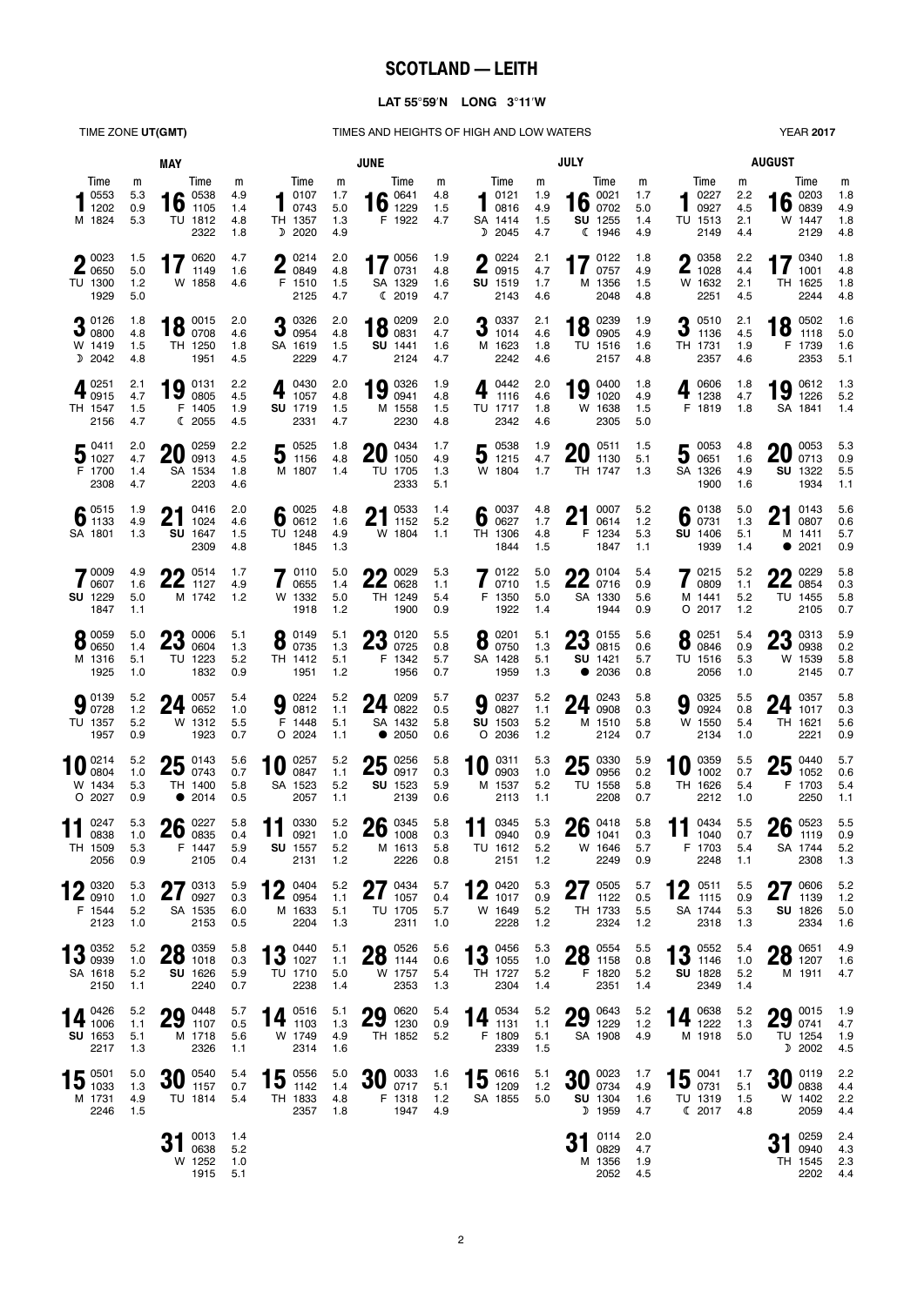# **SCOTLAND — LEITH**

### **LAT 55**°**59**′**N LONG 3**°**11**′**W**

TIME ZONE UT(GMT) TIMES AND HEIGHTS OF HIGH AND LOW WATERS

| <b>YEAR 2017</b> |  |  |
|------------------|--|--|
|------------------|--|--|

|                                                                      | MAY                      |                                                                           | <b>JUNE</b>                   |                                                |                               |                                                                  |                          | <b>JULY</b>                                   | <b>AUGUST</b>                 |                                                             |                               |                                               |                               |                                                                            |                               |
|----------------------------------------------------------------------|--------------------------|---------------------------------------------------------------------------|-------------------------------|------------------------------------------------|-------------------------------|------------------------------------------------------------------|--------------------------|-----------------------------------------------|-------------------------------|-------------------------------------------------------------|-------------------------------|-----------------------------------------------|-------------------------------|----------------------------------------------------------------------------|-------------------------------|
| Time<br>0553<br>1202<br>M 1824                                       | m<br>5.3<br>0.9<br>5.3   | Time<br>$\bullet$ 0538<br>10<br>1105<br>TU 1812<br>2322                   | m<br>4.9<br>1.4<br>4.8<br>1.8 | Time<br>0107<br>п<br>0743<br>TH 1357<br>D 2020 | m<br>1.7<br>5.0<br>1.3<br>4.9 | Time<br>$\bullet$ 0641<br>$10$ 1229<br>F 1922                    | m<br>4.8<br>1.5<br>4.7   | Time<br>0121<br>0816<br>SA 1414<br>2045<br>D  | m<br>1.9<br>4.9<br>1.5<br>4.7 | Time<br>0021<br>$16 \frac{0021}{0702}$<br>SU 1255<br>(1946) | m<br>1.7<br>5.0<br>1.4<br>4.9 | Time<br>0227<br>0927<br>TU 1513<br>2149       | m<br>2.2<br>4.5<br>2.1<br>4.4 | Time<br>0203<br>$16 \frac{\text{U2U3}}{\text{0839}}$<br>W 1447<br>2129     | m<br>1.8<br>4.9<br>1.8<br>4.8 |
| $\bigcap$ 0023<br><b>4</b> 0650<br>TU 1300<br>1929                   | 1.5<br>5.0<br>1.2<br>5.0 | 17 $^{0620}_{1149}$<br>1149<br>W 1858                                     | 4.7<br>1.6<br>4.6             | 0214<br>Λ<br>Z<br>0849<br>F 1510<br>2125       | 2.0<br>4.8<br>1.5<br>4.7      | 17 $^{0056}_{0731}$<br>SA 1329<br>(2019                          | 1.9<br>4.8<br>1.6<br>4.7 | 0224<br>Λ<br>Ł<br>0915<br>SU 1519<br>2143     | 2.1<br>4.7<br>1.7<br>4.6      | 0122<br>0757<br>M 1356<br>2048                              | 1.8<br>4.9<br>1.5<br>4.8      | ∩ 0358<br>L<br>1028<br>W 1632<br>2251         | 2.2<br>4.4<br>2.1<br>4.5      | 17 $^{0340}_{1001}$<br>1001<br>TH 1625<br>2244                             | 1.8<br>4.8<br>1.8<br>4.8      |
| 20126<br>$J_{0800}$<br>W 1419<br>D 2042                              | 1.8<br>4.8<br>1.5<br>4.8 | 0015<br>18<br>0708<br>TH 1250<br>1951                                     | 2.0<br>4.6<br>1.8<br>4.5      | 20326<br>J<br>0954<br>SA 1619<br>2229          | 2.0<br>4.8<br>1.5<br>4.7      | 0209<br>$18^{0209}_{0831}$<br><b>SU</b> 1441<br>2124             | 2.0<br>4.7<br>1.6<br>4.7 | 0337<br>2<br>J<br>1014<br>M 1623<br>2242      | 2.1<br>4.6<br>1.8<br>4.6      | 0239<br>18<br>0905<br>TU 1516<br>2157                       | 1.9<br>4.9<br>1.6<br>4.8      | 0510<br>3<br>1136<br>TH 1731<br>2357          | 2.1<br>4.5<br>1.9<br>4.6      | 0502<br>18<br>1118<br>F 1739<br>2353                                       | 1.6<br>5.0<br>1.6<br>5.1      |
| 0251<br>$4_{0915}$<br>TH 1547<br>2156                                | 2.1<br>4.7<br>1.5<br>4.7 | 0131<br>19<br>0805<br>F 1405<br>(2055)                                    | 2.2<br>4.5<br>1.9<br>4.5      | 0430<br>4<br>1057<br>SU 1719<br>2331           | 2.0<br>4.8<br>1.5<br>4.7      | $19_{0941}^{0326}$<br>M 1558<br>2230                             | 1.9<br>4.8<br>1.5<br>4.8 | 0442<br>4<br>1116<br>TU 1717<br>2342          | 2.0<br>4.6<br>1.8<br>4.6      | 0400<br>19<br>1020<br>W 1638<br>2305                        | 1.8<br>4.9<br>1.5<br>5.0      | 0606<br>$\ddot{\textbf{4}}$<br>1238<br>F 1819 | 1.8<br>4.7<br>1.8             | 0612<br><b>19</b> $^{0612}_{1226}$<br>SA 1841                              | 1.3<br>5.2<br>1.4             |
| $\mathbf{F}^{0411}$<br>31027<br>F 1700<br>2308                       | 2.0<br>4.7<br>1.4<br>4.7 | 0259<br>20<br>0913<br>SA 1534<br>2203                                     | 2.2<br>4.5<br>1.8<br>4.6      | 50525<br>$J$ 1156<br>M 1807                    | 1.8<br>4.8<br>1.4             | 0434<br>20<br>1050<br>TU 1705<br>2333                            | 1.7<br>4.9<br>1.3<br>5.1 | 0538<br>J<br>1215<br>W 1804                   | 1.9<br>4.7<br>1.7             | 0511<br>nη<br>ZU<br>1130<br>TH 1747                         | 1.5<br>5.1<br>1.3             | 50053<br>SA 1326<br>1900                      | 4.8<br>1.6<br>4.9<br>1.6      | $20^{0053}_{0713}$<br>SU 1322<br>1934                                      | 5.3<br>0.9<br>5.5<br>1.1      |
| $\bullet$ 0515<br>0.1133<br>SA 1801                                  | 1.9<br>4.9<br>1.3        | 0416<br>ŋ1<br>Z I<br>1024<br>SU 1647<br>2309                              | 2.0<br>4.6<br>1.5<br>4.8      | 60025<br>TU 1248<br>1845                       | 4.8<br>1.6<br>4.9<br>1.3      | 0533<br>n1<br><u>ZI</u><br>1152<br>W 1804                        | 1.4<br>5.2<br>1.1        | 0037<br>6<br>0627<br>TH 1306<br>1844          | 4.8<br>1.7<br>4.8<br>1.5      | 0007<br>21<br>0614<br>F 1234<br>1847                        | 5.2<br>1.2<br>5.3<br>1.1      | 6 $^{0138}_{0731}$<br>SU 1406<br>1939         | 5.0<br>1.3<br>5.1<br>1.4      | $94$ 0143<br>Z I<br>0807<br>M 1411<br>• 2021                               | 5.6<br>0.6<br>5.7<br>0.9      |
| 70009<br>0607<br>SU 1229<br>1847                                     | 4.9<br>1.6<br>5.0<br>1.1 | 0514<br>22<br>1127<br>M 1742                                              | 1.7<br>4.9<br>1.2             | 0110<br>0655<br>W 1332<br>1918                 | 5.0<br>1.4<br>5.0<br>1.2      | 0029<br>nn<br><b>ZZ</b> 0628<br>TH 1249<br>1900                  | 5.3<br>1.1<br>5.4<br>0.9 | 70122<br>0710<br>F 1350<br>1922               | 5.0<br>1.5<br>5.0<br>1.4      | 0104<br>22<br>0716<br>SA 1330<br>1944                       | 5.4<br>0.9<br>5.6<br>0.9      | 0215<br>0809<br>M 1441<br>$O$ 2017            | 5.2<br>1.1<br>5.2<br>1.2      | ባባ 0229<br><b>ZZ</b> 0854<br>TU 1455<br>2105                               | 5.8<br>0.3<br>5.8<br>0.7      |
| 0.0059<br>$\bullet$ 0650<br>M 1316<br>1925                           | 5.0<br>1.4<br>5.1<br>1.0 | <u> ገገ</u><br>0006<br>25<br>0604<br>TU 1223<br>1832                       | 5.1<br>1.3<br>5.2<br>0.9      | $8^{0149}_{0735}$<br>TH 1412<br>1951           | 5.1<br>1.3<br>5.1<br>1.2      | 02 0120<br>$\mathbf{\Omega} \mathbf{v}_{0725}$<br>F 1342<br>1956 | 5.5<br>0.8<br>5.7<br>0.7 | 0201<br>O<br>0750<br>SA 1428<br>1959          | 5.1<br>1.3<br>5.1<br>1.3      | ባ2 0155<br>2J<br>0815<br>SU 1421<br>$\bullet$<br>2036       | 5.6<br>0.6<br>5.7<br>0.8      | 0251<br>8<br>0846<br>TU 1516<br>2056          | 5.4<br>0.9<br>5.3<br>1.0      | <b>02 0313</b><br>$\overline{\mathsf{L}}\mathsf{J}$ 0938<br>W 1539<br>2145 | 5.9<br>0.2<br>5.8<br>0.7      |
| $0^{0139}$<br>300728<br>TU 1357<br>1957                              | 5.2<br>1.2<br>5.2<br>0.9 | 0057<br>24<br>0652<br>W 1312<br>1923                                      | 5.4<br>1.0<br>5.5<br>0.7      | 0224<br>9<br>0812<br>F 1448<br>$O$ 2024        | 5.2<br>1.1<br>5.1<br>1.1      | ∩ <i>A</i> 0209<br>24<br>0822<br>SA 1432<br>2050<br>$\bullet$    | 5.7<br>0.5<br>5.8<br>0.6 | 0237<br>9<br>0827<br>SU 1503<br>O 2036        | 5.2<br>1.1<br>5.2<br>1.2      | 0243<br>24<br>0908<br>M 1510<br>2124                        | 5.8<br>0.3<br>5.8<br>0.7      | 0325<br>9<br>0924<br>W 1550<br>2134           | 5.5<br>0.8<br>5.4<br>1.0      | $A$ $0357$<br>24<br>1017<br>TH 1621<br>2221                                | 5.8<br>0.3<br>5.6<br>0.9      |
| 0214<br>0804<br>W 1434<br>O 2027                                     | 5.2<br>1.0<br>5.3<br>0.9 | $25\frac{0143}{0743}$<br>TH 1400<br>• 2014                                | 5.6<br>0.7<br>5.8<br>0.5      | 0257<br>10<br>0847<br>SA 1523<br>2057          | 5.2<br>1.1<br>5.2<br>1.1      | 0256<br>25<br>0917<br>SU 1523<br>2139                            | 5.8<br>0.3<br>5.9<br>0.6 | 0311<br>10<br>0903<br>M 1537<br>2113          | 5.3<br>1.0<br>5.2<br>1.1      | $25\degree$ 0330<br>TU 1558<br>2208                         | 5.9<br>0.2<br>5.8<br>0.7      | 0359<br>10<br>1002<br>TH 1626<br>2212         | 5.5<br>0.7<br>5.4<br>1.0      | $25_{1052}^{0440}$<br>1052<br>F 1703<br>2250                               | 5.7<br>0.6<br>5.4<br>1.1      |
| 0247<br>0838<br>IH 1509<br>2056                                      | 5.3<br>1.0<br>5.3<br>0.9 | 0227<br>26<br>0835<br>F 1447<br>2105                                      | 5.8<br>0.4<br>5.9<br>0.4      | 0330<br>11<br>0921<br><b>SU</b> 1557<br>2131   | 5.2<br>1.0<br>5.2<br>1.2      | $26 \ \substack{0345 \\ 1008}$<br>M 1613<br>2226                 | 5.8<br>0.3<br>5.8<br>0.8 | 0345<br>11<br>0940<br>IU 1612<br>2151         | 5.3<br>0.9<br>5.2<br>1.2      | $26_{1041}^{0418}$<br>W 1646<br>2249                        | 5.8<br>0.3<br>5.7<br>0.9      | 11 $^{0434}_{1040}$<br>F 1703<br>2248         | 5.5<br>0.7<br>5.4<br>1.1      | $26 \tfrac{0523}{1119}$<br>SA 1744<br>2308                                 | 5.5<br>0.9<br>5.2<br>1.3      |
| $\bigcap$ 0320<br>$\mathbf{Z}_{\ 0910}$<br>F 1544<br>2123            | 5.3<br>1.0<br>5.2<br>1.0 | $\mathbf{A}$ $\mathbf{Z}$ 0313<br>$\mathbf{ZI}_{0927}$<br>SA 1535<br>2153 | 5.9<br>0.3<br>6.0<br>0.5      | 0404<br>$\mathbf{Z}$<br>0954<br>M 1633<br>2204 | 5.2<br>1.1<br>5.1<br>1.3      | 770434<br><u>21</u><br>1057<br>TU 1705<br>2311                   | 5.7<br>0.4<br>5.7<br>1.0 | $12^{0420}_{1017}$<br>W 1649<br>2228          | 5.3<br>0.9<br>5.2<br>$1.2$    | 270505<br><u>21</u><br>1122<br>TH 1733<br>2324              | 5.7<br>0.5<br>5.5<br>1.2      | 0511<br><u> Z</u><br>1115<br>SA 1744<br>2318  | 5.5<br>0.9<br>5.3<br>1.3      | $27^{0606}_{1139}$<br>1139<br>SU 1826<br>2334                              | 5.2<br>1.2<br>5.0<br>1.6      |
| $12^{0352}$<br>$\overline{1}$ $\overline{2}$ 0939<br>SA 1618<br>2150 | 5.2<br>1.0<br>5.2<br>1.1 | <b>90</b> 0359<br><b>ZO</b> 1018<br>SU 1626<br>2240                       | 5.8<br>0.3<br>5.9<br>0.7      | 13 $^{0440}_{1027}$<br>TU 1710<br>2238         | 5.1<br>1.1<br>5.0<br>1.4      | <b>00 0526</b><br>201144<br>W 1757<br>2353                       | 5.6<br>0.6<br>5.4<br>1.3 | 0456<br>$13^{0456}_{1055}$<br>TH 1727<br>2304 | 5.3<br>1.0<br>5.2<br>1.4      | $28^{0554}_{1158}$<br>F 1820<br>2351                        | 5.5<br>0.8<br>5.2<br>1.4      | $13^{0552}_{1146}$<br>SU 1828<br>2349         | 5.4<br>1.0<br>5.2<br>1.4      | 00 0651<br>201207<br>M 1911                                                | 4.9<br>1.6<br>4.7             |
| 14 $\frac{0426}{1006}$<br>SU 1653<br>2217                            | 5.2<br>1.1<br>5.1<br>1.3 | 0448<br>29<br>1107<br>M 1718<br>2326                                      | 5.7<br>0.5<br>5.6<br>1.1      | $14 \t{ }^{\,0516}_{\,1103}$<br>W 1749<br>2314 | 5.1<br>1.3<br>4.9<br>1.6      | $29 \tfrac{0620}{1230}$<br>TH 1852                               | 5.4<br>0.9<br>5.2        | 0534<br>14<br>1131<br>F 1809<br>2339          | 5.2<br>1.1<br>5.1<br>1.5      | $29 \tfrac{0643}{1229}$<br>SA 1908                          | 5.2<br>1.2<br>4.9             | 14 $^{0638}_{1222}$<br>M 1918                 | 5.2<br>1.3<br>5.0             | 29 0015<br>TU 1254<br>D 2002                                               | 1.9<br>4.7<br>1.9<br>4.5      |
| $15^{0501}_{1033}$<br>M 1731<br>2246                                 | 5.0<br>1.3<br>4.9<br>1.5 | $30^{0540}_{1157}$<br>TU 1814                                             | 5.4<br>0.7<br>5.4             | 0556<br>15<br>1142<br>TH 1833<br>2357          | 5.0<br>1.4<br>4.8<br>1.8      | $30\;\rm{_{0717}^{0033}}$<br>F 1318<br>1947                      | 1.6<br>5.1<br>1.2<br>4.9 | 15 $^{0616}_{1209}$<br>SA 1855                | 5.1<br>$1.2$<br>5.0           | $30\;\substack{0023 \\ 0734}$<br><b>SU</b> 1304<br>D 1959   | 1.7<br>4.9<br>1.6<br>4.7      | $15 \frac{0041}{0731}$<br>TU 1319<br>C 2017   | 1.7<br>5.1<br>1.5<br>4.8      | $30\;\rm{_{0838}^{0119}}$<br>W 1402<br>2059                                | 2.2<br>4.4<br>2.2<br>4.4      |
|                                                                      |                          | 0013<br>0638<br>W 1252<br>1915                                            | 1.4<br>5.2<br>1.0<br>5.1      |                                                |                               |                                                                  |                          |                                               |                               | 0114<br>31<br>0829<br>M 1356<br>2052                        | 2.0<br>4.7<br>1.9<br>4.5      |                                               |                               | $24^{0259}$<br>$J1$ 0940<br>TH 1545<br>2202                                | 2.4<br>4.3<br>2.3<br>4.4      |